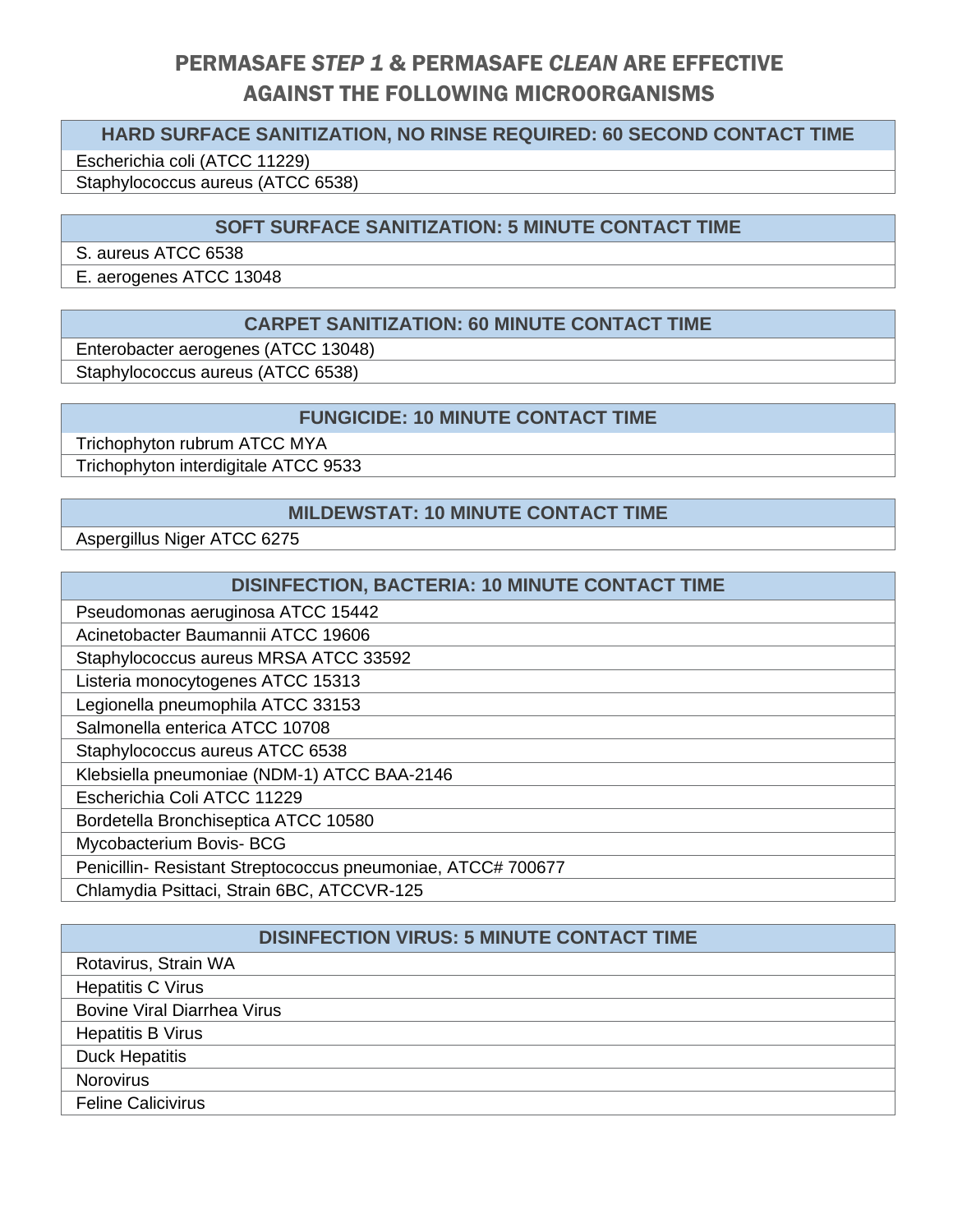# PERMASAFE *STEP 1* & PERMASAFE *CLEAN* ARE EFFECTIVE AGAINST THE FOLLOWING MICROORGANISMS

## **HARD SURFACE SANITIZATION, NO RINSE REQUIRED: 60 SECOND CONTACT TIME**

Escherichia coli (ATCC 11229)

Staphylococcus aureus (ATCC 6538)

# **SOFT SURFACE SANITIZATION: 5 MINUTE CONTACT TIME**

S. aureus ATCC 6538

E. aerogenes ATCC 13048

#### **CARPET SANITIZATION: 60 MINUTE CONTACT TIME**

Enterobacter aerogenes (ATCC 13048)

Staphylococcus aureus (ATCC 6538)

#### **FUNGICIDE: 10 MINUTE CONTACT TIME**

Trichophyton rubrum ATCC MYA Trichophyton interdigitale ATCC 9533

#### **MILDEWSTAT: 10 MINUTE CONTACT TIME**

Aspergillus Niger ATCC 6275

| DISINFECTION, BACTERIA: 10 MINUTE CONTACT TIME              |
|-------------------------------------------------------------|
| Pseudomonas aeruginosa ATCC 15442                           |
| Acinetobacter Baumannii ATCC 19606                          |
| Staphylococcus aureus MRSA ATCC 33592                       |
| Listeria monocytogenes ATCC 15313                           |
| Legionella pneumophila ATCC 33153                           |
| Salmonella enterica ATCC 10708                              |
| Staphylococcus aureus ATCC 6538                             |
| Klebsiella pneumoniae (NDM-1) ATCC BAA-2146                 |
| Escherichia Coli ATCC 11229                                 |
| Bordetella Bronchiseptica ATCC 10580                        |
| Mycobacterium Bovis- BCG                                    |
| Penicillin-Resistant Streptococcus pneumoniae, ATCC# 700677 |
| Chlamydia Psittaci, Strain 6BC, ATCCVR-125                  |

# **DISINFECTION VIRUS: 5 MINUTE CONTACT TIME**

| Rotavirus, Strain WA               |
|------------------------------------|
| <b>Hepatitis C Virus</b>           |
| <b>Bovine Viral Diarrhea Virus</b> |
| <b>Hepatitis B Virus</b>           |
| <b>Duck Hepatitis</b>              |
| <b>Norovirus</b>                   |
| <b>Feline Calicivirus</b>          |
|                                    |